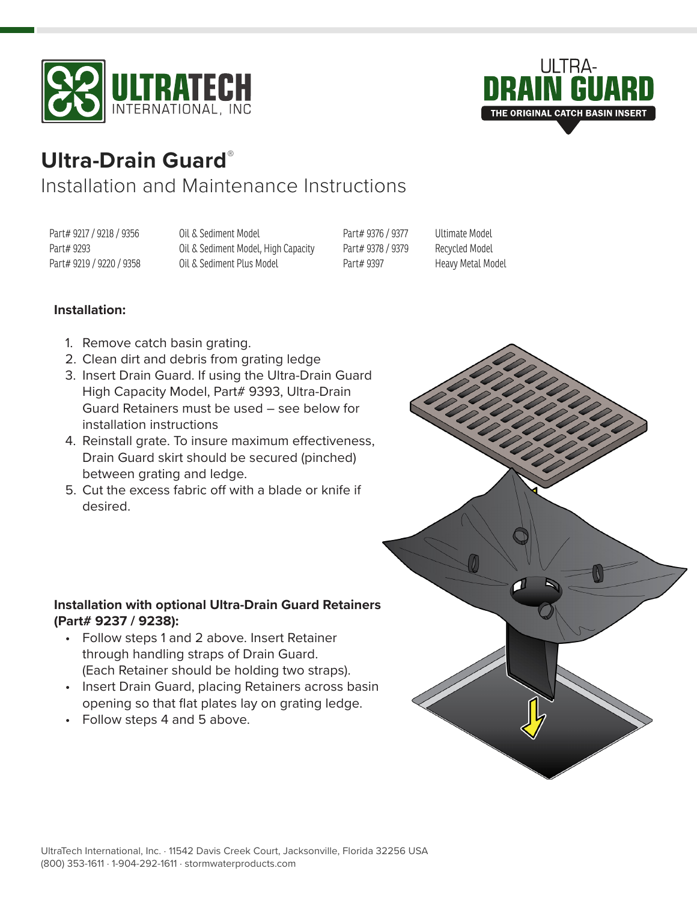



# **Ultra-Drain Guard**®

# Installation and Maintenance Instructions

Part# 9217 / 9218 / 9356 Part# 9293 Part# 9219 / 9220 / 9358 Oil & Sediment Model Oil & Sediment Model, High Capacity Oil & Sediment Plus Model

Part# 9376 / 9377 Part# 9378 / 9379 Part# 9397

Ultimate Model Recycled Model Heavy Metal Model

## **Installation:**

- 1. Remove catch basin grating.
- 2. Clean dirt and debris from grating ledge
- 3. Insert Drain Guard. If using the Ultra-Drain Guard High Capacity Model, Part# 9393, Ultra-Drain Guard Retainers must be used – see below for installation instructions
- 4. Reinstall grate. To insure maximum effectiveness, Drain Guard skirt should be secured (pinched) between grating and ledge.
- 5. Cut the excess fabric off with a blade or knife if desired.

### **Installation with optional Ultra-Drain Guard Retainers (Part# 9237 / 9238):**

- Follow steps 1 and 2 above. Insert Retainer through handling straps of Drain Guard. (Each Retainer should be holding two straps).
- Insert Drain Guard, placing Retainers across basin opening so that flat plates lay on grating ledge.
- Follow steps 4 and 5 above.